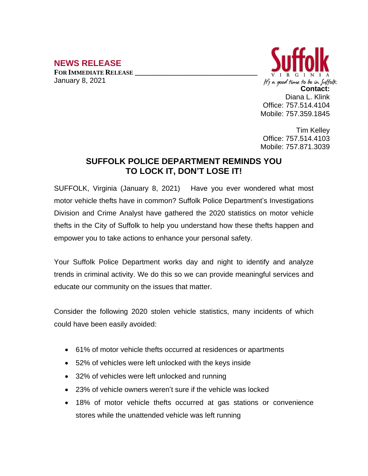## **NEWS RELEASE**

**FOR IMMEDIATE RELEASE \_\_\_\_\_\_\_\_\_\_\_\_\_\_\_\_\_\_\_\_\_\_\_\_\_\_\_\_\_\_\_\_\_\_** January 8, 2021



Tim Kelley Office: 757.514.4103 Mobile: 757.871.3039

## **SUFFOLK POLICE DEPARTMENT REMINDS YOU TO LOCK IT, DON'T LOSE IT!**

SUFFOLK, Virginia (January 8, 2021) Have you ever wondered what most motor vehicle thefts have in common? Suffolk Police Department's Investigations Division and Crime Analyst have gathered the 2020 statistics on motor vehicle thefts in the City of Suffolk to help you understand how these thefts happen and empower you to take actions to enhance your personal safety.

Your Suffolk Police Department works day and night to identify and analyze trends in criminal activity. We do this so we can provide meaningful services and educate our community on the issues that matter.

Consider the following 2020 stolen vehicle statistics, many incidents of which could have been easily avoided:

- 61% of motor vehicle thefts occurred at residences or apartments
- 52% of vehicles were left unlocked with the keys inside
- 32% of vehicles were left unlocked and running
- 23% of vehicle owners weren't sure if the vehicle was locked
- 18% of motor vehicle thefts occurred at gas stations or convenience stores while the unattended vehicle was left running